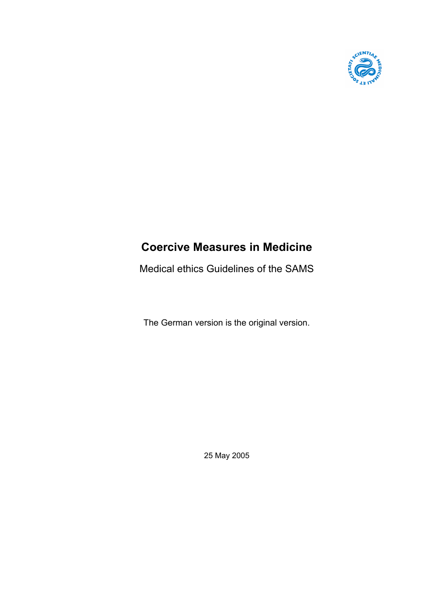

# **Coercive Measures in Medicine**

Medical ethics Guidelines of the SAMS

The German version is the original version.

25 May 2005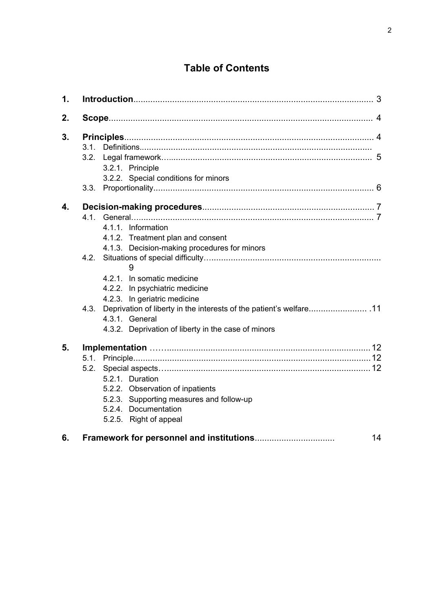## **Table of Contents**

| 1. |      |                                                                     |    |
|----|------|---------------------------------------------------------------------|----|
| 2. |      |                                                                     |    |
| 3. |      |                                                                     |    |
|    |      |                                                                     |    |
|    |      |                                                                     |    |
|    |      | 3.2.1. Principle                                                    |    |
|    |      | 3.2.2. Special conditions for minors                                |    |
|    |      |                                                                     |    |
| 4. |      |                                                                     |    |
|    |      |                                                                     |    |
|    |      | 4.1.1. Information                                                  |    |
|    |      | 4.1.2. Treatment plan and consent                                   |    |
|    |      | 4.1.3. Decision-making procedures for minors                        |    |
|    | 4.2. |                                                                     |    |
|    |      |                                                                     |    |
|    |      | 4.2.1. In somatic medicine                                          |    |
|    |      | 4.2.2. In psychiatric medicine                                      |    |
|    |      | 4.2.3. In geriatric medicine                                        |    |
|    | 4.3. | Deprivation of liberty in the interests of the patient's welfare 11 |    |
|    |      | 4.3.1. General                                                      |    |
|    |      | 4.3.2. Deprivation of liberty in the case of minors                 |    |
| 5. |      |                                                                     |    |
|    |      |                                                                     |    |
|    | 5.2. |                                                                     |    |
|    |      | 5.2.1. Duration                                                     |    |
|    |      | 5.2.2. Observation of inpatients                                    |    |
|    |      | 5.2.3. Supporting measures and follow-up                            |    |
|    |      | 5.2.4. Documentation                                                |    |
|    |      | 5.2.5. Right of appeal                                              |    |
| 6. |      |                                                                     | 14 |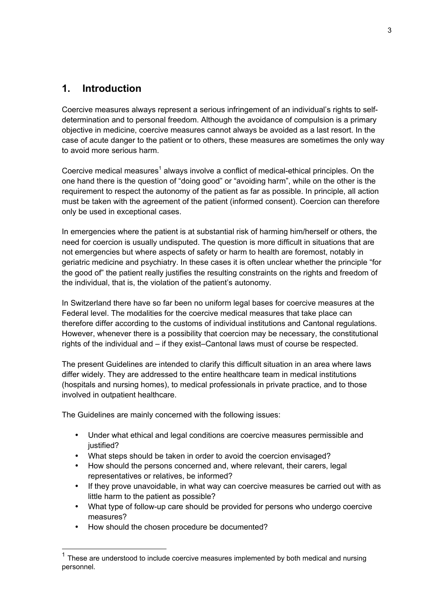## **1. Introduction**

Coercive measures always represent a serious infringement of an individual's rights to selfdetermination and to personal freedom. Although the avoidance of compulsion is a primary objective in medicine, coercive measures cannot always be avoided as a last resort. In the case of acute danger to the patient or to others, these measures are sometimes the only way to avoid more serious harm.

Coercive medical measures<sup>1</sup> always involve a conflict of medical-ethical principles. On the one hand there is the question of "doing good" or "avoiding harm", while on the other is the requirement to respect the autonomy of the patient as far as possible. In principle, all action must be taken with the agreement of the patient (informed consent). Coercion can therefore only be used in exceptional cases.

In emergencies where the patient is at substantial risk of harming him/herself or others, the need for coercion is usually undisputed. The question is more difficult in situations that are not emergencies but where aspects of safety or harm to health are foremost, notably in geriatric medicine and psychiatry. In these cases it is often unclear whether the principle "for the good of" the patient really justifies the resulting constraints on the rights and freedom of the individual, that is, the violation of the patient's autonomy.

In Switzerland there have so far been no uniform legal bases for coercive measures at the Federal level. The modalities for the coercive medical measures that take place can therefore differ according to the customs of individual institutions and Cantonal regulations. However, whenever there is a possibility that coercion may be necessary, the constitutional rights of the individual and – if they exist–Cantonal laws must of course be respected.

The present Guidelines are intended to clarify this difficult situation in an area where laws differ widely. They are addressed to the entire healthcare team in medical institutions (hospitals and nursing homes), to medical professionals in private practice, and to those involved in outpatient healthcare.

The Guidelines are mainly concerned with the following issues:

- Under what ethical and legal conditions are coercive measures permissible and justified?
- What steps should be taken in order to avoid the coercion envisaged?
- How should the persons concerned and, where relevant, their carers, legal representatives or relatives, be informed?
- If they prove unavoidable, in what way can coercive measures be carried out with as little harm to the patient as possible?
- What type of follow-up care should be provided for persons who undergo coercive measures?
- How should the chosen procedure be documented?

 <sup>1</sup> These are understood to include coercive measures implemented by both medical and nursing personnel.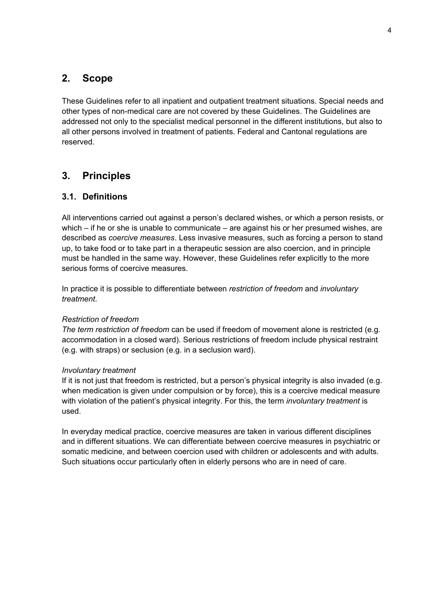## **2. Scope**

These Guidelines refer to all inpatient and outpatient treatment situations. Special needs and other types of non-medical care are not covered by these Guidelines. The Guidelines are addressed not only to the specialist medical personnel in the different institutions, but also to all other persons involved in treatment of patients. Federal and Cantonal regulations are reserved.

## **3. Principles**

## **3.1. Definitions**

All interventions carried out against a person's declared wishes, or which a person resists, or which – if he or she is unable to communicate – are against his or her presumed wishes, are described as *coercive measures*. Less invasive measures, such as forcing a person to stand up, to take food or to take part in a therapeutic session are also coercion, and in principle must be handled in the same way. However, these Guidelines refer explicitly to the more serious forms of coercive measures.

In practice it is possible to differentiate between *restriction of freedom* and *involuntary treatment*.

#### *Restriction of freedom*

*The term restriction of freedom* can be used if freedom of movement alone is restricted (e.g. accommodation in a closed ward). Serious restrictions of freedom include physical restraint (e.g. with straps) or seclusion (e.g. in a seclusion ward).

#### *Involuntary treatment*

If it is not just that freedom is restricted, but a person's physical integrity is also invaded (e.g. when medication is given under compulsion or by force), this is a coercive medical measure with violation of the patient's physical integrity. For this, the term *involuntary treatment* is used.

In everyday medical practice, coercive measures are taken in various different disciplines and in different situations. We can differentiate between coercive measures in psychiatric or somatic medicine, and between coercion used with children or adolescents and with adults. Such situations occur particularly often in elderly persons who are in need of care.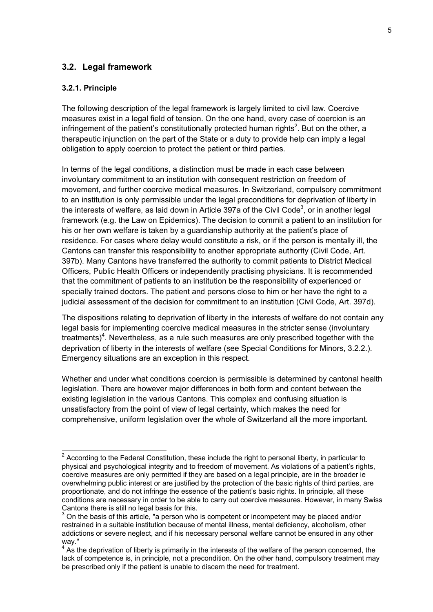#### **3.2. Legal framework**

#### **3.2.1. Principle**

The following description of the legal framework is largely limited to civil law. Coercive measures exist in a legal field of tension. On the one hand, every case of coercion is an infringement of the patient's constitutionally protected human rights<sup>2</sup>. But on the other, a therapeutic injunction on the part of the State or a duty to provide help can imply a legal obligation to apply coercion to protect the patient or third parties.

In terms of the legal conditions, a distinction must be made in each case between involuntary commitment to an institution with consequent restriction on freedom of movement, and further coercive medical measures. In Switzerland, compulsory commitment to an institution is only permissible under the legal preconditions for deprivation of liberty in the interests of welfare, as laid down in Article 397a of the Civil Code<sup>3</sup>, or in another legal framework (e.g. the Law on Epidemics). The decision to commit a patient to an institution for his or her own welfare is taken by a guardianship authority at the patient's place of residence. For cases where delay would constitute a risk, or if the person is mentally ill, the Cantons can transfer this responsibility to another appropriate authority (Civil Code, Art. 397b). Many Cantons have transferred the authority to commit patients to District Medical Officers, Public Health Officers or independently practising physicians. It is recommended that the commitment of patients to an institution be the responsibility of experienced or specially trained doctors. The patient and persons close to him or her have the right to a judicial assessment of the decision for commitment to an institution (Civil Code, Art. 397d).

The dispositions relating to deprivation of liberty in the interests of welfare do not contain any legal basis for implementing coercive medical measures in the stricter sense (involuntary treatments)<sup>4</sup>. Nevertheless, as a rule such measures are only prescribed together with the deprivation of liberty in the interests of welfare (see Special Conditions for Minors, 3.2.2.). Emergency situations are an exception in this respect.

Whether and under what conditions coercion is permissible is determined by cantonal health legislation. There are however major differences in both form and content between the existing legislation in the various Cantons. This complex and confusing situation is unsatisfactory from the point of view of legal certainty, which makes the need for comprehensive, uniform legislation over the whole of Switzerland all the more important.

 <sup>2</sup> According to the Federal Constitution, these include the right to personal liberty, in particular to physical and psychological integrity and to freedom of movement. As violations of a patient's rights, coercive measures are only permitted if they are based on a legal principle, are in the broader ie overwhelming public interest or are justified by the protection of the basic rights of third parties, are proportionate, and do not infringe the essence of the patient's basic rights. In principle, all these conditions are necessary in order to be able to carry out coercive measures. However, in many Swiss Cantons there is still no legal basis for this.

 $3$  On the basis of this article, "a person who is competent or incompetent may be placed and/or restrained in a suitable institution because of mental illness, mental deficiency, alcoholism, other addictions or severe neglect, and if his necessary personal welfare cannot be ensured in any other way."

 $4$  As the deprivation of liberty is primarily in the interests of the welfare of the person concerned, the lack of competence is, in principle, not a precondition. On the other hand, compulsory treatment may be prescribed only if the patient is unable to discern the need for treatment.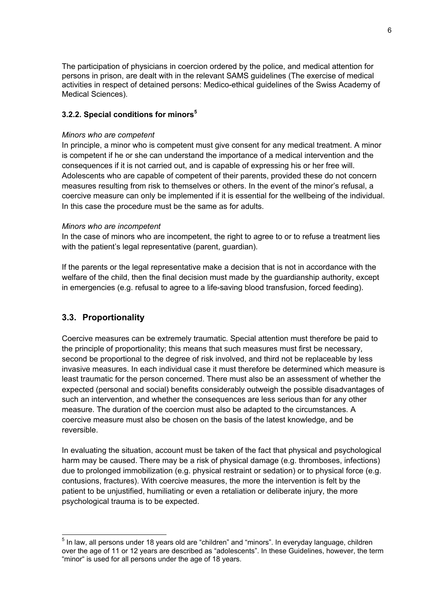The participation of physicians in coercion ordered by the police, and medical attention for persons in prison, are dealt with in the relevant SAMS guidelines (The exercise of medical activities in respect of detained persons: Medico-ethical guidelines of the Swiss Academy of Medical Sciences).

#### **3.2.2. Special conditions for minors<sup>5</sup>**

#### *Minors who are competent*

In principle, a minor who is competent must give consent for any medical treatment. A minor is competent if he or she can understand the importance of a medical intervention and the consequences if it is not carried out, and is capable of expressing his or her free will. Adolescents who are capable of competent of their parents, provided these do not concern measures resulting from risk to themselves or others. In the event of the minor's refusal, a coercive measure can only be implemented if it is essential for the wellbeing of the individual. In this case the procedure must be the same as for adults.

#### *Minors who are incompetent*

In the case of minors who are incompetent, the right to agree to or to refuse a treatment lies with the patient's legal representative (parent, quardian).

If the parents or the legal representative make a decision that is not in accordance with the welfare of the child, then the final decision must made by the guardianship authority, except in emergencies (e.g. refusal to agree to a life-saving blood transfusion, forced feeding).

#### **3.3. Proportionality**

Coercive measures can be extremely traumatic. Special attention must therefore be paid to the principle of proportionality; this means that such measures must first be necessary, second be proportional to the degree of risk involved, and third not be replaceable by less invasive measures. In each individual case it must therefore be determined which measure is least traumatic for the person concerned. There must also be an assessment of whether the expected (personal and social) benefits considerably outweigh the possible disadvantages of such an intervention, and whether the consequences are less serious than for any other measure. The duration of the coercion must also be adapted to the circumstances. A coercive measure must also be chosen on the basis of the latest knowledge, and be reversible.

In evaluating the situation, account must be taken of the fact that physical and psychological harm may be caused. There may be a risk of physical damage (e.g. thromboses, infections) due to prolonged immobilization (e.g. physical restraint or sedation) or to physical force (e.g. contusions, fractures). With coercive measures, the more the intervention is felt by the patient to be unjustified, humiliating or even a retaliation or deliberate injury, the more psychological trauma is to be expected.

 <sup>5</sup> In law, all persons under 18 years old are "children" and "minors". In everyday language, children over the age of 11 or 12 years are described as "adolescents". In these Guidelines, however, the term "minor" is used for all persons under the age of 18 years.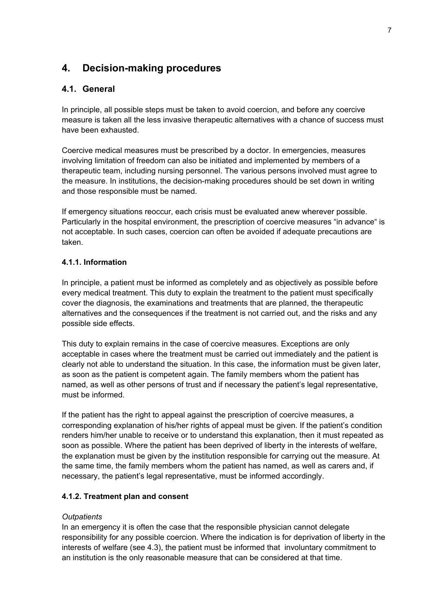## **4. Decision-making procedures**

## **4.1. General**

In principle, all possible steps must be taken to avoid coercion, and before any coercive measure is taken all the less invasive therapeutic alternatives with a chance of success must have been exhausted.

Coercive medical measures must be prescribed by a doctor. In emergencies, measures involving limitation of freedom can also be initiated and implemented by members of a therapeutic team, including nursing personnel. The various persons involved must agree to the measure. In institutions, the decision-making procedures should be set down in writing and those responsible must be named.

If emergency situations reoccur, each crisis must be evaluated anew wherever possible. Particularly in the hospital environment, the prescription of coercive measures "in advance" is not acceptable. In such cases, coercion can often be avoided if adequate precautions are taken.

### **4.1.1. Information**

In principle, a patient must be informed as completely and as objectively as possible before every medical treatment. This duty to explain the treatment to the patient must specifically cover the diagnosis, the examinations and treatments that are planned, the therapeutic alternatives and the consequences if the treatment is not carried out, and the risks and any possible side effects.

This duty to explain remains in the case of coercive measures. Exceptions are only acceptable in cases where the treatment must be carried out immediately and the patient is clearly not able to understand the situation. In this case, the information must be given later, as soon as the patient is competent again. The family members whom the patient has named, as well as other persons of trust and if necessary the patient's legal representative, must be informed.

If the patient has the right to appeal against the prescription of coercive measures, a corresponding explanation of his/her rights of appeal must be given. If the patient's condition renders him/her unable to receive or to understand this explanation, then it must repeated as soon as possible. Where the patient has been deprived of liberty in the interests of welfare, the explanation must be given by the institution responsible for carrying out the measure. At the same time, the family members whom the patient has named, as well as carers and, if necessary, the patient's legal representative, must be informed accordingly.

## **4.1.2. Treatment plan and consent**

#### *Outpatients*

In an emergency it is often the case that the responsible physician cannot delegate responsibility for any possible coercion. Where the indication is for deprivation of liberty in the interests of welfare (see 4.3), the patient must be informed that involuntary commitment to an institution is the only reasonable measure that can be considered at that time.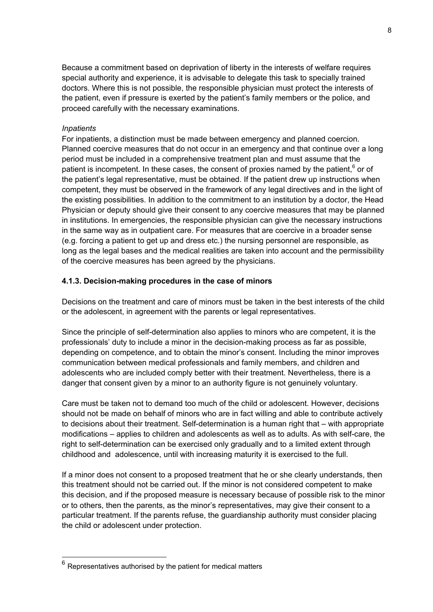Because a commitment based on deprivation of liberty in the interests of welfare requires special authority and experience, it is advisable to delegate this task to specially trained doctors. Where this is not possible, the responsible physician must protect the interests of the patient, even if pressure is exerted by the patient's family members or the police, and proceed carefully with the necessary examinations.

#### *Inpatients*

For inpatients, a distinction must be made between emergency and planned coercion. Planned coercive measures that do not occur in an emergency and that continue over a long period must be included in a comprehensive treatment plan and must assume that the patient is incompetent. In these cases, the consent of proxies named by the patient,  $6$  or of the patient's legal representative, must be obtained. If the patient drew up instructions when competent, they must be observed in the framework of any legal directives and in the light of the existing possibilities. In addition to the commitment to an institution by a doctor, the Head Physician or deputy should give their consent to any coercive measures that may be planned in institutions. In emergencies, the responsible physician can give the necessary instructions in the same way as in outpatient care. For measures that are coercive in a broader sense (e.g. forcing a patient to get up and dress etc.) the nursing personnel are responsible, as long as the legal bases and the medical realities are taken into account and the permissibility of the coercive measures has been agreed by the physicians.

### **4.1.3. Decision-making procedures in the case of minors**

Decisions on the treatment and care of minors must be taken in the best interests of the child or the adolescent, in agreement with the parents or legal representatives.

Since the principle of self-determination also applies to minors who are competent, it is the professionals' duty to include a minor in the decision-making process as far as possible, depending on competence, and to obtain the minor's consent. Including the minor improves communication between medical professionals and family members, and children and adolescents who are included comply better with their treatment. Nevertheless, there is a danger that consent given by a minor to an authority figure is not genuinely voluntary.

Care must be taken not to demand too much of the child or adolescent. However, decisions should not be made on behalf of minors who are in fact willing and able to contribute actively to decisions about their treatment. Self-determination is a human right that – with appropriate modifications – applies to children and adolescents as well as to adults. As with self-care, the right to self-determination can be exercised only gradually and to a limited extent through childhood and adolescence, until with increasing maturity it is exercised to the full.

If a minor does not consent to a proposed treatment that he or she clearly understands, then this treatment should not be carried out. If the minor is not considered competent to make this decision, and if the proposed measure is necessary because of possible risk to the minor or to others, then the parents, as the minor's representatives, may give their consent to a particular treatment. If the parents refuse, the guardianship authority must consider placing the child or adolescent under protection.

 $6$  Representatives authorised by the patient for medical matters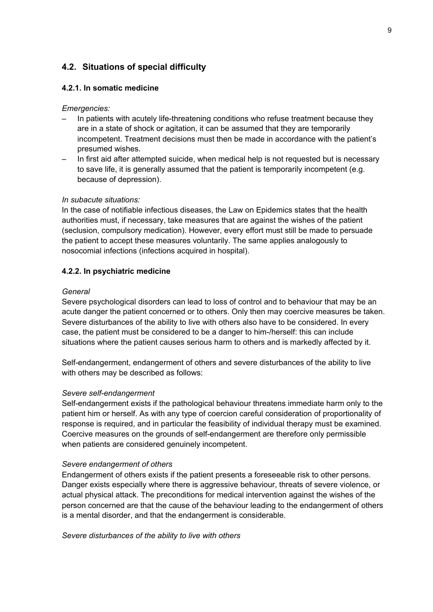## **4.2. Situations of special difficulty**

#### **4.2.1. In somatic medicine**

#### *Emergencies:*

- In patients with acutely life-threatening conditions who refuse treatment because they are in a state of shock or agitation, it can be assumed that they are temporarily incompetent. Treatment decisions must then be made in accordance with the patient's presumed wishes.
- In first aid after attempted suicide, when medical help is not requested but is necessary to save life, it is generally assumed that the patient is temporarily incompetent (e.g. because of depression).

#### *In subacute situations:*

In the case of notifiable infectious diseases, the Law on Epidemics states that the health authorities must, if necessary, take measures that are against the wishes of the patient (seclusion, compulsory medication). However, every effort must still be made to persuade the patient to accept these measures voluntarily. The same applies analogously to nosocomial infections (infections acquired in hospital).

#### **4.2.2. In psychiatric medicine**

#### *General*

Severe psychological disorders can lead to loss of control and to behaviour that may be an acute danger the patient concerned or to others. Only then may coercive measures be taken. Severe disturbances of the ability to live with others also have to be considered. In every case, the patient must be considered to be a danger to him-/herself: this can include situations where the patient causes serious harm to others and is markedly affected by it.

Self-endangerment, endangerment of others and severe disturbances of the ability to live with others may be described as follows:

#### *Severe self-endangerment*

Self-endangerment exists if the pathological behaviour threatens immediate harm only to the patient him or herself. As with any type of coercion careful consideration of proportionality of response is required, and in particular the feasibility of individual therapy must be examined. Coercive measures on the grounds of self-endangerment are therefore only permissible when patients are considered genuinely incompetent.

#### *Severe endangerment of others*

Endangerment of others exists if the patient presents a foreseeable risk to other persons. Danger exists especially where there is aggressive behaviour, threats of severe violence, or actual physical attack. The preconditions for medical intervention against the wishes of the person concerned are that the cause of the behaviour leading to the endangerment of others is a mental disorder, and that the endangerment is considerable.

*Severe disturbances of the ability to live with others*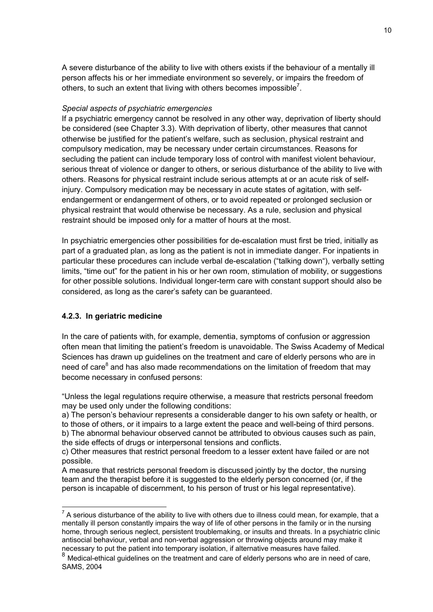A severe disturbance of the ability to live with others exists if the behaviour of a mentally ill person affects his or her immediate environment so severely, or impairs the freedom of others, to such an extent that living with others becomes impossible<sup>7</sup>.

#### *Special aspects of psychiatric emergencies*

If a psychiatric emergency cannot be resolved in any other way, deprivation of liberty should be considered (see Chapter 3.3). With deprivation of liberty, other measures that cannot otherwise be justified for the patient's welfare, such as seclusion, physical restraint and compulsory medication, may be necessary under certain circumstances. Reasons for secluding the patient can include temporary loss of control with manifest violent behaviour, serious threat of violence or danger to others, or serious disturbance of the ability to live with others. Reasons for physical restraint include serious attempts at or an acute risk of selfinjury. Compulsory medication may be necessary in acute states of agitation, with selfendangerment or endangerment of others, or to avoid repeated or prolonged seclusion or physical restraint that would otherwise be necessary. As a rule, seclusion and physical restraint should be imposed only for a matter of hours at the most.

In psychiatric emergencies other possibilities for de-escalation must first be tried, initially as part of a graduated plan, as long as the patient is not in immediate danger. For inpatients in particular these procedures can include verbal de-escalation ("talking down"), verbally setting limits, "time out" for the patient in his or her own room, stimulation of mobility, or suggestions for other possible solutions. Individual longer-term care with constant support should also be considered, as long as the carer's safety can be guaranteed.

#### **4.2.3. In geriatric medicine**

In the care of patients with, for example, dementia, symptoms of confusion or aggression often mean that limiting the patient's freedom is unavoidable. The Swiss Academy of Medical Sciences has drawn up guidelines on the treatment and care of elderly persons who are in need of care<sup>8</sup> and has also made recommendations on the limitation of freedom that may become necessary in confused persons:

"Unless the legal regulations require otherwise, a measure that restricts personal freedom may be used only under the following conditions:

a) The person's behaviour represents a considerable danger to his own safety or health, or to those of others, or it impairs to a large extent the peace and well-being of third persons. b) The abnormal behaviour observed cannot be attributed to obvious causes such as pain, the side effects of drugs or interpersonal tensions and conflicts.

c) Other measures that restrict personal freedom to a lesser extent have failed or are not possible.

A measure that restricts personal freedom is discussed jointly by the doctor, the nursing team and the therapist before it is suggested to the elderly person concerned (or, if the person is incapable of discernment, to his person of trust or his legal representative).

<sup>————————————————————&</sup>lt;br><sup>7</sup> A serious disturbance of the ability to live with others due to illness could mean, for example, that a mentally ill person constantly impairs the way of life of other persons in the family or in the nursing home, through serious neglect, persistent troublemaking, or insults and threats. In a psychiatric clinic antisocial behaviour, verbal and non-verbal aggression or throwing objects around may make it necessary to put the patient into temporary isolation, if alternative measures have failed.

<sup>8</sup> Medical-ethical guidelines on the treatment and care of elderly persons who are in need of care, SAMS, 2004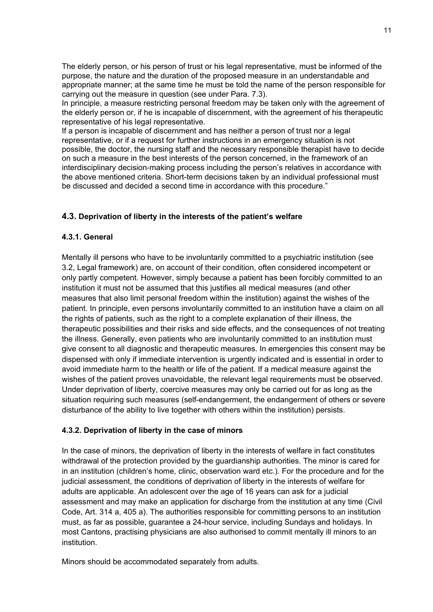The elderly person, or his person of trust or his legal representative, must be informed of the purpose, the nature and the duration of the proposed measure in an understandable and appropriate manner; at the same time he must be told the name of the person responsible for carrying out the measure in question (see under Para. 7.3).

In principle, a measure restricting personal freedom may be taken only with the agreement of the elderly person or, if he is incapable of discernment, with the agreement of his therapeutic representative of his legal representative.

If a person is incapable of discernment and has neither a person of trust nor a legal representative, or if a request for further instructions in an emergency situation is not possible, the doctor, the nursing staff and the necessary responsible therapist have to decide on such a measure in the best interests of the person concerned, in the framework of an interdisciplinary decision-making process including the person's relatives in accordance with the above mentioned criteria. Short-term decisions taken by an individual professional must be discussed and decided a second time in accordance with this procedure."

## **4.3. Deprivation of liberty in the interests of the patient's welfare**

#### **4.3.1. General**

Mentally ill persons who have to be involuntarily committed to a psychiatric institution (see 3.2, Legal framework) are, on account of their condition, often considered incompetent or only partly competent. However, simply because a patient has been forcibly committed to an institution it must not be assumed that this justifies all medical measures (and other measures that also limit personal freedom within the institution) against the wishes of the patient. In principle, even persons involuntarily committed to an institution have a claim on all the rights of patients, such as the right to a complete explanation of their illness, the therapeutic possibilities and their risks and side effects, and the consequences of not treating the illness. Generally, even patients who are involuntarily committed to an institution must give consent to all diagnostic and therapeutic measures. In emergencies this consent may be dispensed with only if immediate intervention is urgently indicated and is essential in order to avoid immediate harm to the health or life of the patient. If a medical measure against the wishes of the patient proves unavoidable, the relevant legal requirements must be observed. Under deprivation of liberty, coercive measures may only be carried out for as long as the situation requiring such measures (self-endangerment, the endangerment of others or severe disturbance of the ability to live together with others within the institution) persists.

#### **4.3.2. Deprivation of liberty in the case of minors**

In the case of minors, the deprivation of liberty in the interests of welfare in fact constitutes withdrawal of the protection provided by the guardianship authorities. The minor is cared for in an institution (children's home, clinic, observation ward etc.). For the procedure and for the judicial assessment, the conditions of deprivation of liberty in the interests of welfare for adults are applicable. An adolescent over the age of 16 years can ask for a judicial assessment and may make an application for discharge from the institution at any time (Civil Code, Art. 314 a, 405 a). The authorities responsible for committing persons to an institution must, as far as possible, guarantee a 24-hour service, including Sundays and holidays. In most Cantons, practising physicians are also authorised to commit mentally ill minors to an institution.

Minors should be accommodated separately from adults.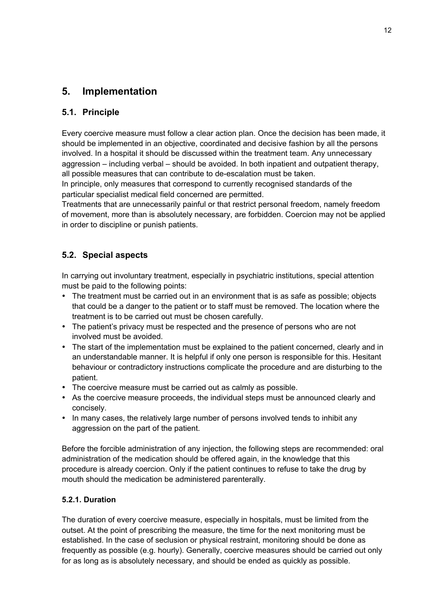## **5. Implementation**

## **5.1. Principle**

Every coercive measure must follow a clear action plan. Once the decision has been made, it should be implemented in an objective, coordinated and decisive fashion by all the persons involved. In a hospital it should be discussed within the treatment team. Any unnecessary aggression – including verbal – should be avoided. In both inpatient and outpatient therapy, all possible measures that can contribute to de-escalation must be taken.

In principle, only measures that correspond to currently recognised standards of the particular specialist medical field concerned are permitted.

Treatments that are unnecessarily painful or that restrict personal freedom, namely freedom of movement, more than is absolutely necessary, are forbidden. Coercion may not be applied in order to discipline or punish patients.

## **5.2. Special aspects**

In carrying out involuntary treatment, especially in psychiatric institutions, special attention must be paid to the following points:

- The treatment must be carried out in an environment that is as safe as possible; objects that could be a danger to the patient or to staff must be removed. The location where the treatment is to be carried out must be chosen carefully.
- The patient's privacy must be respected and the presence of persons who are not involved must be avoided.
- The start of the implementation must be explained to the patient concerned, clearly and in an understandable manner. It is helpful if only one person is responsible for this. Hesitant behaviour or contradictory instructions complicate the procedure and are disturbing to the patient.
- The coercive measure must be carried out as calmly as possible.
- As the coercive measure proceeds, the individual steps must be announced clearly and concisely.
- In many cases, the relatively large number of persons involved tends to inhibit any aggression on the part of the patient.

Before the forcible administration of any injection, the following steps are recommended: oral administration of the medication should be offered again, in the knowledge that this procedure is already coercion. Only if the patient continues to refuse to take the drug by mouth should the medication be administered parenterally.

## **5.2.1. Duration**

The duration of every coercive measure, especially in hospitals, must be limited from the outset. At the point of prescribing the measure, the time for the next monitoring must be established. In the case of seclusion or physical restraint, monitoring should be done as frequently as possible (e.g. hourly). Generally, coercive measures should be carried out only for as long as is absolutely necessary, and should be ended as quickly as possible.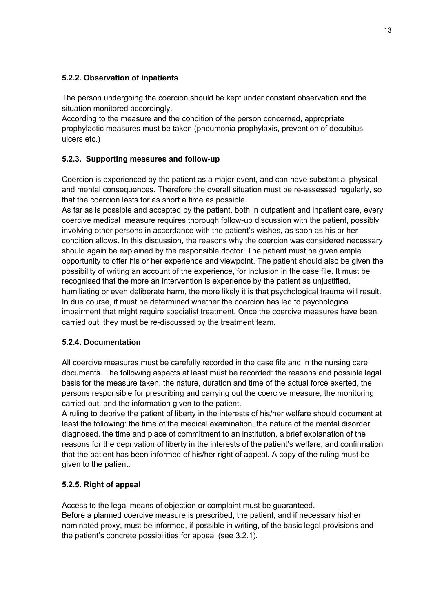## **5.2.2. Observation of inpatients**

The person undergoing the coercion should be kept under constant observation and the situation monitored accordingly.

According to the measure and the condition of the person concerned, appropriate prophylactic measures must be taken (pneumonia prophylaxis, prevention of decubitus ulcers etc.)

## **5.2.3. Supporting measures and follow-up**

Coercion is experienced by the patient as a major event, and can have substantial physical and mental consequences. Therefore the overall situation must be re-assessed regularly, so that the coercion lasts for as short a time as possible.

As far as is possible and accepted by the patient, both in outpatient and inpatient care, every coercive medical measure requires thorough follow-up discussion with the patient, possibly involving other persons in accordance with the patient's wishes, as soon as his or her condition allows. In this discussion, the reasons why the coercion was considered necessary should again be explained by the responsible doctor. The patient must be given ample opportunity to offer his or her experience and viewpoint. The patient should also be given the possibility of writing an account of the experience, for inclusion in the case file. It must be recognised that the more an intervention is experience by the patient as unjustified, humiliating or even deliberate harm, the more likely it is that psychological trauma will result. In due course, it must be determined whether the coercion has led to psychological impairment that might require specialist treatment. Once the coercive measures have been carried out, they must be re-discussed by the treatment team.

## **5.2.4. Documentation**

All coercive measures must be carefully recorded in the case file and in the nursing care documents. The following aspects at least must be recorded: the reasons and possible legal basis for the measure taken, the nature, duration and time of the actual force exerted, the persons responsible for prescribing and carrying out the coercive measure, the monitoring carried out, and the information given to the patient.

A ruling to deprive the patient of liberty in the interests of his/her welfare should document at least the following: the time of the medical examination, the nature of the mental disorder diagnosed, the time and place of commitment to an institution, a brief explanation of the reasons for the deprivation of liberty in the interests of the patient's welfare, and confirmation that the patient has been informed of his/her right of appeal. A copy of the ruling must be given to the patient.

## **5.2.5. Right of appeal**

Access to the legal means of objection or complaint must be guaranteed. Before a planned coercive measure is prescribed, the patient, and if necessary his/her nominated proxy, must be informed, if possible in writing, of the basic legal provisions and the patient's concrete possibilities for appeal (see 3.2.1).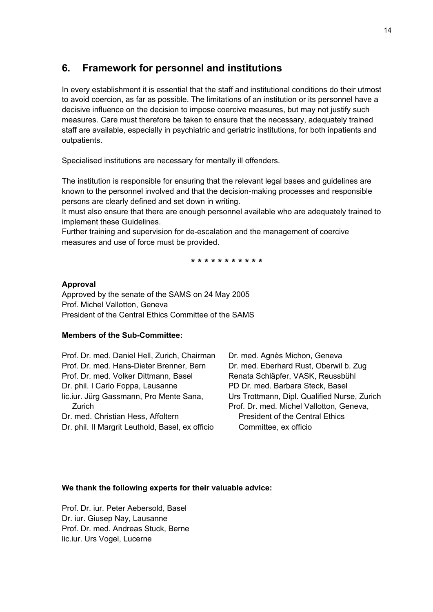## **6. Framework for personnel and institutions**

In every establishment it is essential that the staff and institutional conditions do their utmost to avoid coercion, as far as possible. The limitations of an institution or its personnel have a decisive influence on the decision to impose coercive measures, but may not justify such measures. Care must therefore be taken to ensure that the necessary, adequately trained staff are available, especially in psychiatric and geriatric institutions, for both inpatients and outpatients.

Specialised institutions are necessary for mentally ill offenders.

The institution is responsible for ensuring that the relevant legal bases and guidelines are known to the personnel involved and that the decision-making processes and responsible persons are clearly defined and set down in writing.

It must also ensure that there are enough personnel available who are adequately trained to implement these Guidelines.

Further training and supervision for de-escalation and the management of coercive measures and use of force must be provided.

**\* \* \* \* \* \* \* \* \* \* \***

#### **Approval**

Approved by the senate of the SAMS on 24 May 2005 Prof. Michel Vallotton, Geneva President of the Central Ethics Committee of the SAMS

#### **Members of the Sub-Committee:**

| Prof. Dr. med. Daniel Hell, Zurich, Chairman     | Dr. med. Agnès Michon, Geneva                |
|--------------------------------------------------|----------------------------------------------|
| Prof. Dr. med. Hans-Dieter Brenner, Bern         | Dr. med. Eberhard Rust, Oberwil b. Zug       |
| Prof. Dr. med. Volker Dittmann, Basel            | Renata Schläpfer, VASK, Reussbühl            |
| Dr. phil. I Carlo Foppa, Lausanne                | PD Dr. med. Barbara Steck, Basel             |
| lic.iur. Jürg Gassmann, Pro Mente Sana,          | Urs Trottmann, Dipl. Qualified Nurse, Zurich |
| Zurich                                           | Prof. Dr. med. Michel Vallotton, Geneva,     |
| Dr. med. Christian Hess, Affoltern               | <b>President of the Central Ethics</b>       |
| Dr. phil. II Margrit Leuthold, Basel, ex officio | Committee, ex officio                        |
|                                                  |                                              |

#### **We thank the following experts for their valuable advice:**

Prof. Dr. iur. Peter Aebersold, Basel Dr. iur. Giusep Nay, Lausanne Prof. Dr. med. Andreas Stuck, Berne lic.iur. Urs Vogel, Lucerne